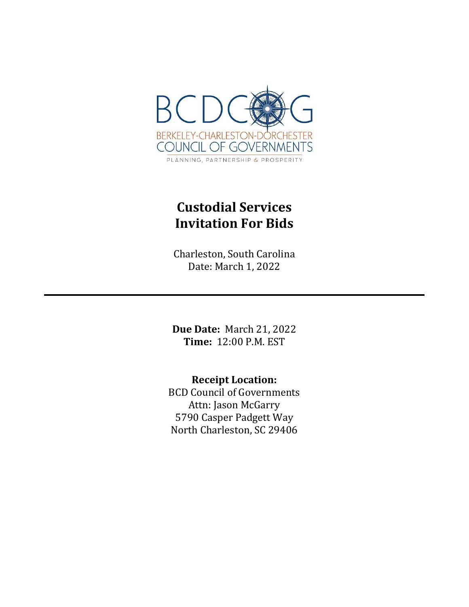

# **Custodial Services Invitation For Bids**

Charleston, South Carolina Date: March 1, 2022

**Due Date:** March 21, 2022 **Time:** 12:00 P.M. EST

**Receipt Location:** BCD Council of Governments Attn: Jason McGarry 5790 Casper Padgett Way North Charleston, SC 29406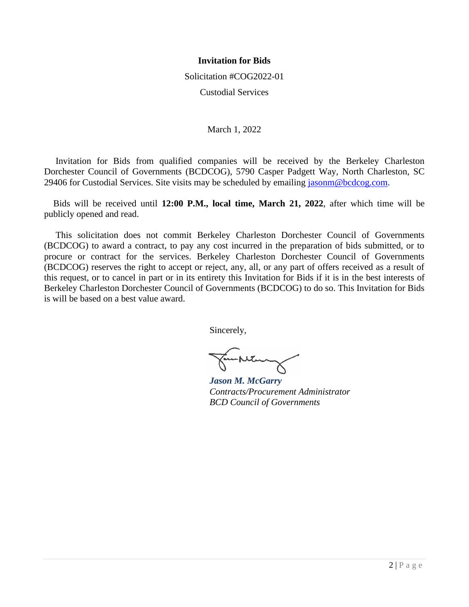## **Invitation for Bids**

Solicitation #COG2022-01

Custodial Services

March 1, 2022

 Invitation for Bids from qualified companies will be received by the Berkeley Charleston Dorchester Council of Governments (BCDCOG), 5790 Casper Padgett Way, North Charleston, SC 29406 for Custodial Services. Site visits may be scheduled by emailing [jasonm@bcdcog.com.](mailto:jasonm@bcdcog.com)

 Bids will be received until **12:00 P.M., local time, March 21, 2022**, after which time will be publicly opened and read.

 This solicitation does not commit Berkeley Charleston Dorchester Council of Governments (BCDCOG) to award a contract, to pay any cost incurred in the preparation of bids submitted, or to procure or contract for the services. Berkeley Charleston Dorchester Council of Governments (BCDCOG) reserves the right to accept or reject, any, all, or any part of offers received as a result of this request, or to cancel in part or in its entirety this Invitation for Bids if it is in the best interests of Berkeley Charleston Dorchester Council of Governments (BCDCOG) to do so. This Invitation for Bids is will be based on a best value award.

Sincerely,

*Jason M. McGarry Contracts/Procurement Administrator BCD Council of Governments*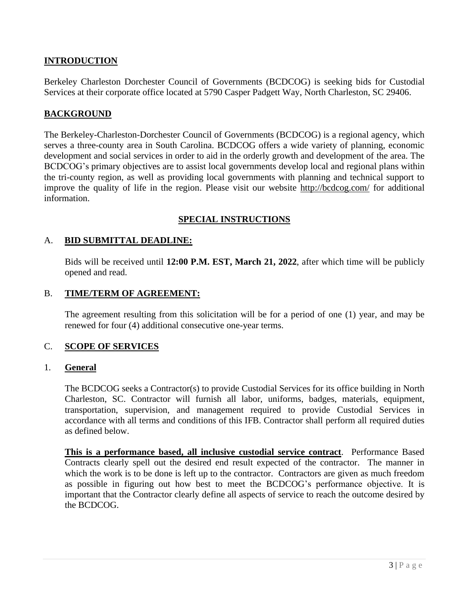# **INTRODUCTION**

Berkeley Charleston Dorchester Council of Governments (BCDCOG) is seeking bids for Custodial Services at their corporate office located at 5790 Casper Padgett Way, North Charleston, SC 29406.

## **BACKGROUND**

The Berkeley-Charleston-Dorchester Council of Governments (BCDCOG) is a regional agency, which serves a three-county area in South Carolina. BCDCOG offers a wide variety of planning, economic development and social services in order to aid in the orderly growth and development of the area. The BCDCOG's primary objectives are to assist local governments develop local and regional plans within the tri-county region, as well as providing local governments with planning and technical support to improve the quality of life in the region. Please visit our website<http://bcdcog.com/> for additional information.

## **SPECIAL INSTRUCTIONS**

## A. **BID SUBMITTAL DEADLINE:**

Bids will be received until **12:00 P.M. EST, March 21, 2022**, after which time will be publicly opened and read.

#### B. **TIME/TERM OF AGREEMENT:**

The agreement resulting from this solicitation will be for a period of one (1) year, and may be renewed for four (4) additional consecutive one-year terms.

## C. **SCOPE OF SERVICES**

#### 1. **General**

The BCDCOG seeks a Contractor(s) to provide Custodial Services for its office building in North Charleston, SC. Contractor will furnish all labor, uniforms, badges, materials, equipment, transportation, supervision, and management required to provide Custodial Services in accordance with all terms and conditions of this IFB. Contractor shall perform all required duties as defined below.

**This is a performance based, all inclusive custodial service contract**. Performance Based Contracts clearly spell out the desired end result expected of the contractor. The manner in which the work is to be done is left up to the contractor. Contractors are given as much freedom as possible in figuring out how best to meet the BCDCOG's performance objective. It is important that the Contractor clearly define all aspects of service to reach the outcome desired by the BCDCOG.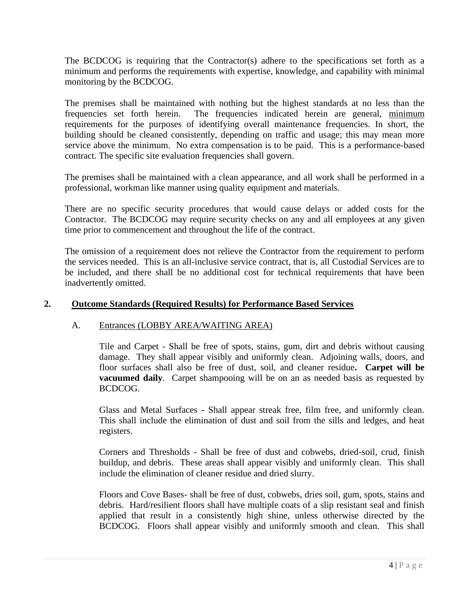The BCDCOG is requiring that the Contractor(s) adhere to the specifications set forth as a minimum and performs the requirements with expertise, knowledge, and capability with minimal monitoring by the BCDCOG.

The premises shall be maintained with nothing but the highest standards at no less than the frequencies set forth herein. The frequencies indicated herein are general, minimum requirements for the purposes of identifying overall maintenance frequencies. In short, the building should be cleaned consistently, depending on traffic and usage; this may mean more service above the minimum. No extra compensation is to be paid. This is a performance-based contract. The specific site evaluation frequencies shall govern.

The premises shall be maintained with a clean appearance, and all work shall be performed in a professional, workman like manner using quality equipment and materials.

There are no specific security procedures that would cause delays or added costs for the Contractor. The BCDCOG may require security checks on any and all employees at any given time prior to commencement and throughout the life of the contract.

The omission of a requirement does not relieve the Contractor from the requirement to perform the services needed. This is an all-inclusive service contract, that is, all Custodial Services are to be included, and there shall be no additional cost for technical requirements that have been inadvertently omitted.

# **2. Outcome Standards (Required Results) for Performance Based Services**

## A. Entrances (LOBBY AREA/WAITING AREA)

Tile and Carpet - Shall be free of spots, stains, gum, dirt and debris without causing damage. They shall appear visibly and uniformly clean. Adjoining walls, doors, and floor surfaces shall also be free of dust, soil, and cleaner residue**. Carpet will be vacuumed daily**. Carpet shampooing will be on an as needed basis as requested by BCDCOG.

Glass and Metal Surfaces - Shall appear streak free, film free, and uniformly clean. This shall include the elimination of dust and soil from the sills and ledges, and heat registers.

Corners and Thresholds - Shall be free of dust and cobwebs, dried-soil, crud, finish buildup, and debris. These areas shall appear visibly and uniformly clean. This shall include the elimination of cleaner residue and dried slurry.

Floors and Cove Bases- shall be free of dust, cobwebs, dries soil, gum, spots, stains and debris. Hard/resilient floors shall have multiple coats of a slip resistant seal and finish applied that result in a consistently high shine, unless otherwise directed by the BCDCOG. Floors shall appear visibly and uniformly smooth and clean. This shall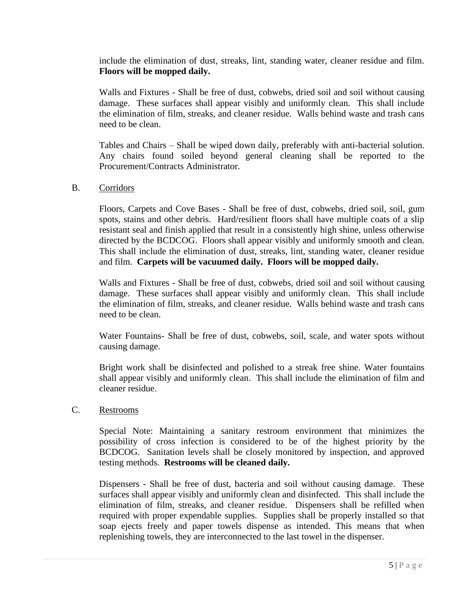include the elimination of dust, streaks, lint, standing water, cleaner residue and film. **Floors will be mopped daily.**

Walls and Fixtures - Shall be free of dust, cobwebs, dried soil and soil without causing damage. These surfaces shall appear visibly and uniformly clean. This shall include the elimination of film, streaks, and cleaner residue. Walls behind waste and trash cans need to be clean.

Tables and Chairs – Shall be wiped down daily, preferably with anti-bacterial solution. Any chairs found soiled beyond general cleaning shall be reported to the Procurement/Contracts Administrator.

## B. Corridors

Floors, Carpets and Cove Bases - Shall be free of dust, cobwebs, dried soil, soil, gum spots, stains and other debris. Hard/resilient floors shall have multiple coats of a slip resistant seal and finish applied that result in a consistently high shine, unless otherwise directed by the BCDCOG. Floors shall appear visibly and uniformly smooth and clean. This shall include the elimination of dust, streaks, lint, standing water, cleaner residue and film. **Carpets will be vacuumed daily. Floors will be mopped daily.**

Walls and Fixtures - Shall be free of dust, cobwebs, dried soil and soil without causing damage. These surfaces shall appear visibly and uniformly clean. This shall include the elimination of film, streaks, and cleaner residue. Walls behind waste and trash cans need to be clean.

Water Fountains- Shall be free of dust, cobwebs, soil, scale, and water spots without causing damage.

Bright work shall be disinfected and polished to a streak free shine. Water fountains shall appear visibly and uniformly clean. This shall include the elimination of film and cleaner residue.

## C. Restrooms

Special Note: Maintaining a sanitary restroom environment that minimizes the possibility of cross infection is considered to be of the highest priority by the BCDCOG. Sanitation levels shall be closely monitored by inspection, and approved testing methods. **Restrooms will be cleaned daily.**

Dispensers - Shall be free of dust, bacteria and soil without causing damage. These surfaces shall appear visibly and uniformly clean and disinfected. This shall include the elimination of film, streaks, and cleaner residue. Dispensers shall be refilled when required with proper expendable supplies. Supplies shall be properly installed so that soap ejects freely and paper towels dispense as intended. This means that when replenishing towels, they are interconnected to the last towel in the dispenser.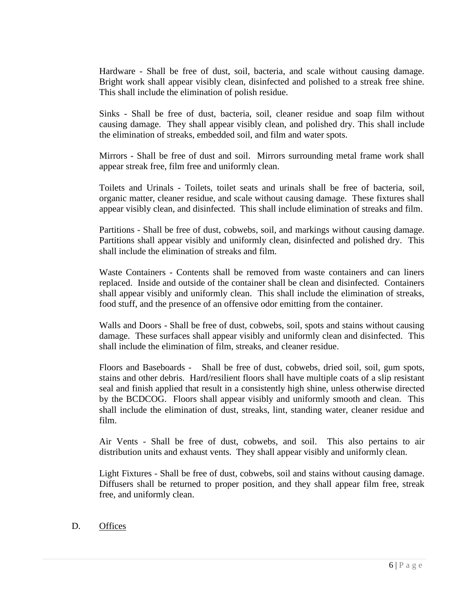Hardware - Shall be free of dust, soil, bacteria, and scale without causing damage. Bright work shall appear visibly clean, disinfected and polished to a streak free shine. This shall include the elimination of polish residue.

Sinks - Shall be free of dust, bacteria, soil, cleaner residue and soap film without causing damage. They shall appear visibly clean, and polished dry. This shall include the elimination of streaks, embedded soil, and film and water spots.

Mirrors - Shall be free of dust and soil. Mirrors surrounding metal frame work shall appear streak free, film free and uniformly clean.

Toilets and Urinals - Toilets, toilet seats and urinals shall be free of bacteria, soil, organic matter, cleaner residue, and scale without causing damage. These fixtures shall appear visibly clean, and disinfected. This shall include elimination of streaks and film.

Partitions - Shall be free of dust, cobwebs, soil, and markings without causing damage. Partitions shall appear visibly and uniformly clean, disinfected and polished dry. This shall include the elimination of streaks and film.

Waste Containers - Contents shall be removed from waste containers and can liners replaced. Inside and outside of the container shall be clean and disinfected. Containers shall appear visibly and uniformly clean. This shall include the elimination of streaks, food stuff, and the presence of an offensive odor emitting from the container.

Walls and Doors - Shall be free of dust, cobwebs, soil, spots and stains without causing damage. These surfaces shall appear visibly and uniformly clean and disinfected. This shall include the elimination of film, streaks, and cleaner residue.

Floors and Baseboards - Shall be free of dust, cobwebs, dried soil, soil, gum spots, stains and other debris. Hard/resilient floors shall have multiple coats of a slip resistant seal and finish applied that result in a consistently high shine, unless otherwise directed by the BCDCOG. Floors shall appear visibly and uniformly smooth and clean. This shall include the elimination of dust, streaks, lint, standing water, cleaner residue and film.

Air Vents - Shall be free of dust, cobwebs, and soil. This also pertains to air distribution units and exhaust vents. They shall appear visibly and uniformly clean.

Light Fixtures - Shall be free of dust, cobwebs, soil and stains without causing damage. Diffusers shall be returned to proper position, and they shall appear film free, streak free, and uniformly clean.

D. Offices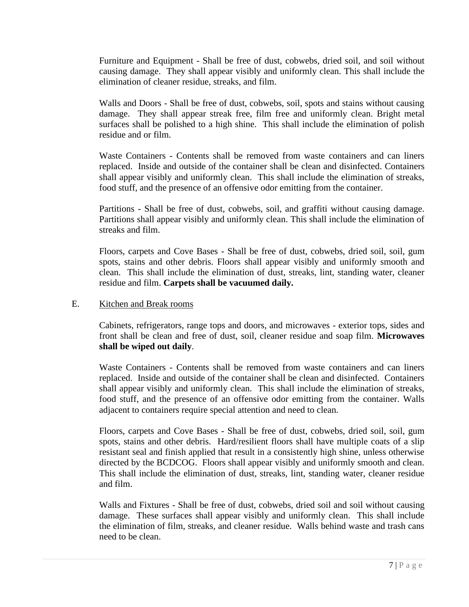Furniture and Equipment - Shall be free of dust, cobwebs, dried soil, and soil without causing damage. They shall appear visibly and uniformly clean. This shall include the elimination of cleaner residue, streaks, and film.

Walls and Doors - Shall be free of dust, cobwebs, soil, spots and stains without causing damage. They shall appear streak free, film free and uniformly clean. Bright metal surfaces shall be polished to a high shine. This shall include the elimination of polish residue and or film.

Waste Containers - Contents shall be removed from waste containers and can liners replaced. Inside and outside of the container shall be clean and disinfected. Containers shall appear visibly and uniformly clean. This shall include the elimination of streaks, food stuff, and the presence of an offensive odor emitting from the container.

Partitions - Shall be free of dust, cobwebs, soil, and graffiti without causing damage. Partitions shall appear visibly and uniformly clean. This shall include the elimination of streaks and film.

Floors, carpets and Cove Bases - Shall be free of dust, cobwebs, dried soil, soil, gum spots, stains and other debris. Floors shall appear visibly and uniformly smooth and clean. This shall include the elimination of dust, streaks, lint, standing water, cleaner residue and film. **Carpets shall be vacuumed daily.**

## E. Kitchen and Break rooms

Cabinets, refrigerators, range tops and doors, and microwaves - exterior tops, sides and front shall be clean and free of dust, soil, cleaner residue and soap film. **Microwaves shall be wiped out daily**.

Waste Containers - Contents shall be removed from waste containers and can liners replaced. Inside and outside of the container shall be clean and disinfected. Containers shall appear visibly and uniformly clean. This shall include the elimination of streaks, food stuff, and the presence of an offensive odor emitting from the container. Walls adjacent to containers require special attention and need to clean.

Floors, carpets and Cove Bases - Shall be free of dust, cobwebs, dried soil, soil, gum spots, stains and other debris. Hard/resilient floors shall have multiple coats of a slip resistant seal and finish applied that result in a consistently high shine, unless otherwise directed by the BCDCOG. Floors shall appear visibly and uniformly smooth and clean. This shall include the elimination of dust, streaks, lint, standing water, cleaner residue and film.

Walls and Fixtures - Shall be free of dust, cobwebs, dried soil and soil without causing damage. These surfaces shall appear visibly and uniformly clean. This shall include the elimination of film, streaks, and cleaner residue. Walls behind waste and trash cans need to be clean.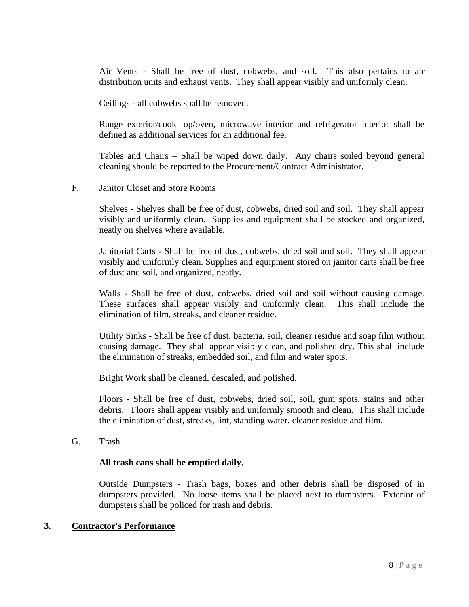Air Vents - Shall be free of dust, cobwebs, and soil. This also pertains to air distribution units and exhaust vents. They shall appear visibly and uniformly clean.

Ceilings - all cobwebs shall be removed.

Range exterior/cook top/oven, microwave interior and refrigerator interior shall be defined as additional services for an additional fee.

Tables and Chairs – Shall be wiped down daily. Any chairs soiled beyond general cleaning should be reported to the Procurement/Contract Administrator.

## F. Janitor Closet and Store Rooms

Shelves - Shelves shall be free of dust, cobwebs, dried soil and soil. They shall appear visibly and uniformly clean. Supplies and equipment shall be stocked and organized, neatly on shelves where available.

Janitorial Carts - Shall be free of dust, cobwebs, dried soil and soil. They shall appear visibly and uniformly clean. Supplies and equipment stored on janitor carts shall be free of dust and soil, and organized, neatly.

Walls - Shall be free of dust, cobwebs, dried soil and soil without causing damage. These surfaces shall appear visibly and uniformly clean. This shall include the elimination of film, streaks, and cleaner residue.

Utility Sinks - Shall be free of dust, bacteria, soil, cleaner residue and soap film without causing damage. They shall appear visibly clean, and polished dry. This shall include the elimination of streaks, embedded soil, and film and water spots.

Bright Work shall be cleaned, descaled, and polished.

Floors - Shall be free of dust, cobwebs, dried soil, soil, gum spots, stains and other debris. Floors shall appear visibly and uniformly smooth and clean. This shall include the elimination of dust, streaks, lint, standing water, cleaner residue and film.

G. Trash

# **All trash cans shall be emptied daily.**

Outside Dumpsters - Trash bags, boxes and other debris shall be disposed of in dumpsters provided. No loose items shall be placed next to dumpsters. Exterior of dumpsters shall be policed for trash and debris.

# **3. Contractor's Performance**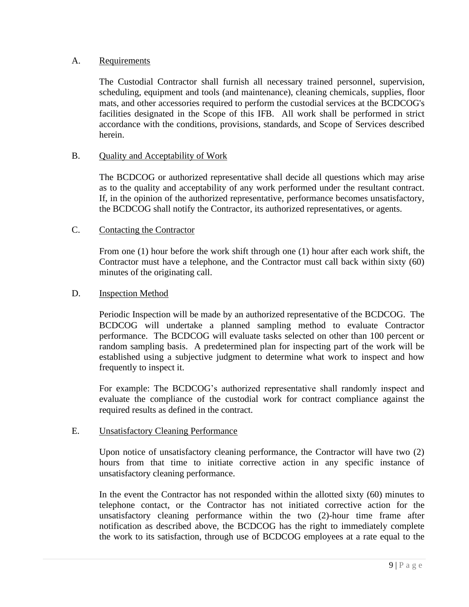## A. Requirements

The Custodial Contractor shall furnish all necessary trained personnel, supervision, scheduling, equipment and tools (and maintenance), cleaning chemicals, supplies, floor mats, and other accessories required to perform the custodial services at the BCDCOG's facilities designated in the Scope of this IFB. All work shall be performed in strict accordance with the conditions, provisions, standards, and Scope of Services described herein.

## B. Quality and Acceptability of Work

The BCDCOG or authorized representative shall decide all questions which may arise as to the quality and acceptability of any work performed under the resultant contract. If, in the opinion of the authorized representative, performance becomes unsatisfactory, the BCDCOG shall notify the Contractor, its authorized representatives, or agents.

## C. Contacting the Contractor

From one (1) hour before the work shift through one (1) hour after each work shift, the Contractor must have a telephone, and the Contractor must call back within sixty (60) minutes of the originating call.

## D. **Inspection Method**

Periodic Inspection will be made by an authorized representative of the BCDCOG. The BCDCOG will undertake a planned sampling method to evaluate Contractor performance. The BCDCOG will evaluate tasks selected on other than 100 percent or random sampling basis. A predetermined plan for inspecting part of the work will be established using a subjective judgment to determine what work to inspect and how frequently to inspect it.

For example: The BCDCOG's authorized representative shall randomly inspect and evaluate the compliance of the custodial work for contract compliance against the required results as defined in the contract.

## E. Unsatisfactory Cleaning Performance

Upon notice of unsatisfactory cleaning performance, the Contractor will have two (2) hours from that time to initiate corrective action in any specific instance of unsatisfactory cleaning performance.

In the event the Contractor has not responded within the allotted sixty (60) minutes to telephone contact, or the Contractor has not initiated corrective action for the unsatisfactory cleaning performance within the two (2)-hour time frame after notification as described above, the BCDCOG has the right to immediately complete the work to its satisfaction, through use of BCDCOG employees at a rate equal to the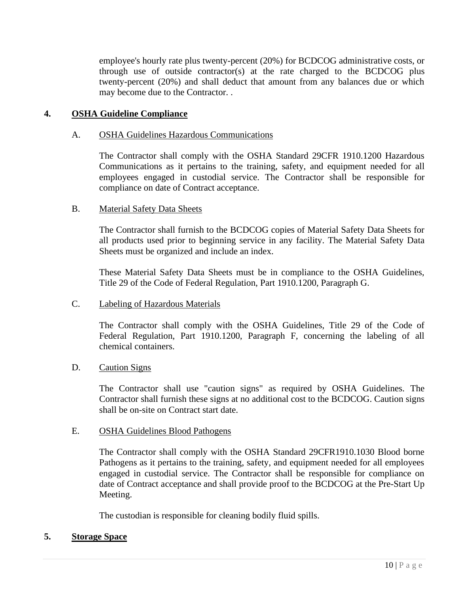employee's hourly rate plus twenty-percent (20%) for BCDCOG administrative costs, or through use of outside contractor(s) at the rate charged to the BCDCOG plus twenty-percent (20%) and shall deduct that amount from any balances due or which may become due to the Contractor. .

## **4. OSHA Guideline Compliance**

#### A. OSHA Guidelines Hazardous Communications

The Contractor shall comply with the OSHA Standard 29CFR 1910.1200 Hazardous Communications as it pertains to the training, safety, and equipment needed for all employees engaged in custodial service. The Contractor shall be responsible for compliance on date of Contract acceptance.

#### B. Material Safety Data Sheets

The Contractor shall furnish to the BCDCOG copies of Material Safety Data Sheets for all products used prior to beginning service in any facility. The Material Safety Data Sheets must be organized and include an index.

These Material Safety Data Sheets must be in compliance to the OSHA Guidelines, Title 29 of the Code of Federal Regulation, Part 1910.1200, Paragraph G.

#### C. Labeling of Hazardous Materials

The Contractor shall comply with the OSHA Guidelines, Title 29 of the Code of Federal Regulation, Part 1910.1200, Paragraph F, concerning the labeling of all chemical containers.

#### D. Caution Signs

The Contractor shall use "caution signs" as required by OSHA Guidelines. The Contractor shall furnish these signs at no additional cost to the BCDCOG. Caution signs shall be on-site on Contract start date.

#### E. OSHA Guidelines Blood Pathogens

The Contractor shall comply with the OSHA Standard 29CFR1910.1030 Blood borne Pathogens as it pertains to the training, safety, and equipment needed for all employees engaged in custodial service. The Contractor shall be responsible for compliance on date of Contract acceptance and shall provide proof to the BCDCOG at the Pre-Start Up Meeting.

The custodian is responsible for cleaning bodily fluid spills.

## **5. Storage Space**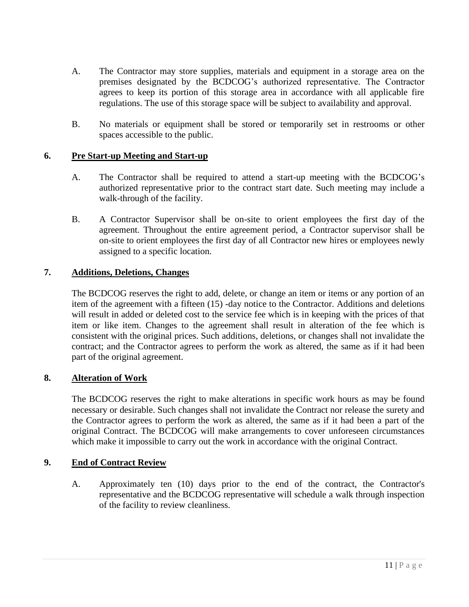- A. The Contractor may store supplies, materials and equipment in a storage area on the premises designated by the BCDCOG's authorized representative. The Contractor agrees to keep its portion of this storage area in accordance with all applicable fire regulations. The use of this storage space will be subject to availability and approval.
- B. No materials or equipment shall be stored or temporarily set in restrooms or other spaces accessible to the public.

## **6. Pre Start-up Meeting and Start-up**

- A. The Contractor shall be required to attend a start-up meeting with the BCDCOG's authorized representative prior to the contract start date. Such meeting may include a walk-through of the facility.
- B. A Contractor Supervisor shall be on-site to orient employees the first day of the agreement. Throughout the entire agreement period, a Contractor supervisor shall be on-site to orient employees the first day of all Contractor new hires or employees newly assigned to a specific location.

## **7. Additions, Deletions, Changes**

The BCDCOG reserves the right to add, delete, or change an item or items or any portion of an item of the agreement with a fifteen (15) -day notice to the Contractor. Additions and deletions will result in added or deleted cost to the service fee which is in keeping with the prices of that item or like item. Changes to the agreement shall result in alteration of the fee which is consistent with the original prices. Such additions, deletions, or changes shall not invalidate the contract; and the Contractor agrees to perform the work as altered, the same as if it had been part of the original agreement.

# **8. Alteration of Work**

The BCDCOG reserves the right to make alterations in specific work hours as may be found necessary or desirable. Such changes shall not invalidate the Contract nor release the surety and the Contractor agrees to perform the work as altered, the same as if it had been a part of the original Contract. The BCDCOG will make arrangements to cover unforeseen circumstances which make it impossible to carry out the work in accordance with the original Contract.

## **9. End of Contract Review**

A. Approximately ten (10) days prior to the end of the contract, the Contractor's representative and the BCDCOG representative will schedule a walk through inspection of the facility to review cleanliness.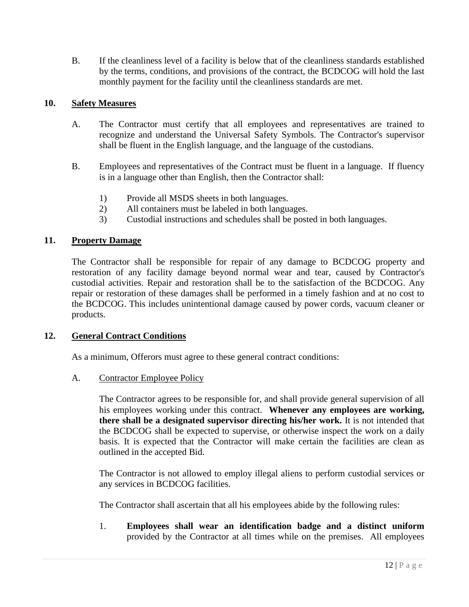B. If the cleanliness level of a facility is below that of the cleanliness standards established by the terms, conditions, and provisions of the contract, the BCDCOG will hold the last monthly payment for the facility until the cleanliness standards are met.

## **10. Safety Measures**

- A. The Contractor must certify that all employees and representatives are trained to recognize and understand the Universal Safety Symbols. The Contractor's supervisor shall be fluent in the English language, and the language of the custodians.
- B. Employees and representatives of the Contract must be fluent in a language. If fluency is in a language other than English, then the Contractor shall:
	- 1) Provide all MSDS sheets in both languages.
	- 2) All containers must be labeled in both languages.
	- 3) Custodial instructions and schedules shall be posted in both languages.

## **11. Property Damage**

The Contractor shall be responsible for repair of any damage to BCDCOG property and restoration of any facility damage beyond normal wear and tear, caused by Contractor's custodial activities. Repair and restoration shall be to the satisfaction of the BCDCOG. Any repair or restoration of these damages shall be performed in a timely fashion and at no cost to the BCDCOG. This includes unintentional damage caused by power cords, vacuum cleaner or products.

## **12. General Contract Conditions**

As a minimum, Offerors must agree to these general contract conditions:

A. Contractor Employee Policy

The Contractor agrees to be responsible for, and shall provide general supervision of all his employees working under this contract. **Whenever any employees are working, there shall be a designated supervisor directing his/her work.** It is not intended that the BCDCOG shall be expected to supervise, or otherwise inspect the work on a daily basis. It is expected that the Contractor will make certain the facilities are clean as outlined in the accepted Bid.

The Contractor is not allowed to employ illegal aliens to perform custodial services or any services in BCDCOG facilities.

The Contractor shall ascertain that all his employees abide by the following rules:

1. **Employees shall wear an identification badge and a distinct uniform** provided by the Contractor at all times while on the premises. All employees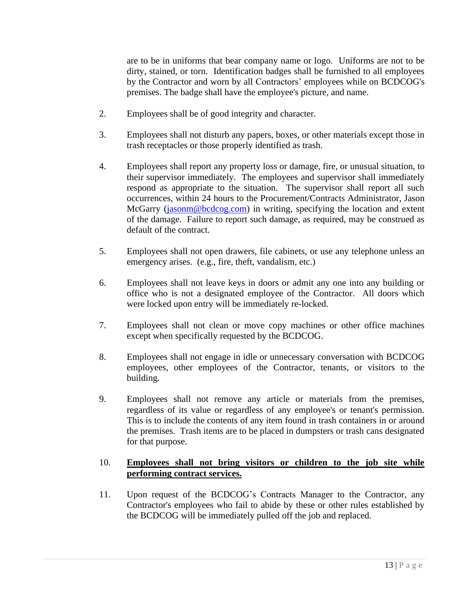are to be in uniforms that bear company name or logo. Uniforms are not to be dirty, stained, or torn. Identification badges shall be furnished to all employees by the Contractor and worn by all Contractors' employees while on BCDCOG's premises. The badge shall have the employee's picture, and name.

- 2. Employees shall be of good integrity and character.
- 3. Employees shall not disturb any papers, boxes, or other materials except those in trash receptacles or those properly identified as trash.
- 4. Employees shall report any property loss or damage, fire, or unusual situation, to their supervisor immediately. The employees and supervisor shall immediately respond as appropriate to the situation. The supervisor shall report all such occurrences, within 24 hours to the Procurement/Contracts Administrator, Jason McGarry [\(jasonm@bcdcog.com\)](mailto:jasonm@bcdcog.com) in writing, specifying the location and extent of the damage. Failure to report such damage, as required, may be construed as default of the contract.
- 5. Employees shall not open drawers, file cabinets, or use any telephone unless an emergency arises. (e.g., fire, theft, vandalism, etc.)
- 6. Employees shall not leave keys in doors or admit any one into any building or office who is not a designated employee of the Contractor. All doors which were locked upon entry will be immediately re-locked.
- 7. Employees shall not clean or move copy machines or other office machines except when specifically requested by the BCDCOG.
- 8. Employees shall not engage in idle or unnecessary conversation with BCDCOG employees, other employees of the Contractor, tenants, or visitors to the building.
- 9. Employees shall not remove any article or materials from the premises, regardless of its value or regardless of any employee's or tenant's permission. This is to include the contents of any item found in trash containers in or around the premises. Trash items are to be placed in dumpsters or trash cans designated for that purpose.

# 10. **Employees shall not bring visitors or children to the job site while performing contract services.**

11. Upon request of the BCDCOG's Contracts Manager to the Contractor, any Contractor's employees who fail to abide by these or other rules established by the BCDCOG will be immediately pulled off the job and replaced.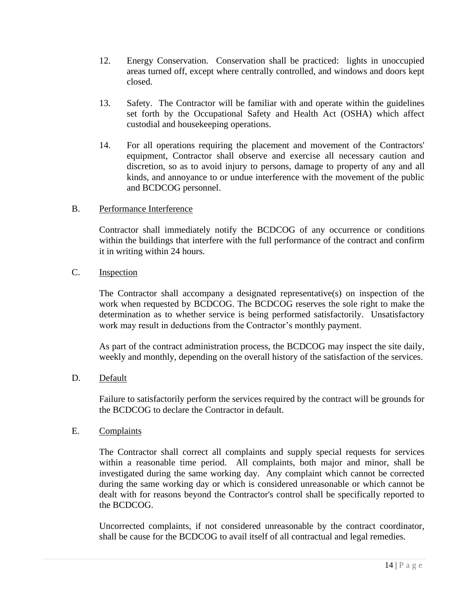- 12. Energy Conservation. Conservation shall be practiced: lights in unoccupied areas turned off, except where centrally controlled, and windows and doors kept closed.
- 13. Safety. The Contractor will be familiar with and operate within the guidelines set forth by the Occupational Safety and Health Act (OSHA) which affect custodial and housekeeping operations.
- 14. For all operations requiring the placement and movement of the Contractors' equipment, Contractor shall observe and exercise all necessary caution and discretion, so as to avoid injury to persons, damage to property of any and all kinds, and annoyance to or undue interference with the movement of the public and BCDCOG personnel.

## B. Performance Interference

Contractor shall immediately notify the BCDCOG of any occurrence or conditions within the buildings that interfere with the full performance of the contract and confirm it in writing within 24 hours.

## C. Inspection

The Contractor shall accompany a designated representative(s) on inspection of the work when requested by BCDCOG. The BCDCOG reserves the sole right to make the determination as to whether service is being performed satisfactorily. Unsatisfactory work may result in deductions from the Contractor's monthly payment.

As part of the contract administration process, the BCDCOG may inspect the site daily, weekly and monthly, depending on the overall history of the satisfaction of the services.

# D. Default

Failure to satisfactorily perform the services required by the contract will be grounds for the BCDCOG to declare the Contractor in default.

## E. Complaints

The Contractor shall correct all complaints and supply special requests for services within a reasonable time period. All complaints, both major and minor, shall be investigated during the same working day. Any complaint which cannot be corrected during the same working day or which is considered unreasonable or which cannot be dealt with for reasons beyond the Contractor's control shall be specifically reported to the BCDCOG.

Uncorrected complaints, if not considered unreasonable by the contract coordinator, shall be cause for the BCDCOG to avail itself of all contractual and legal remedies.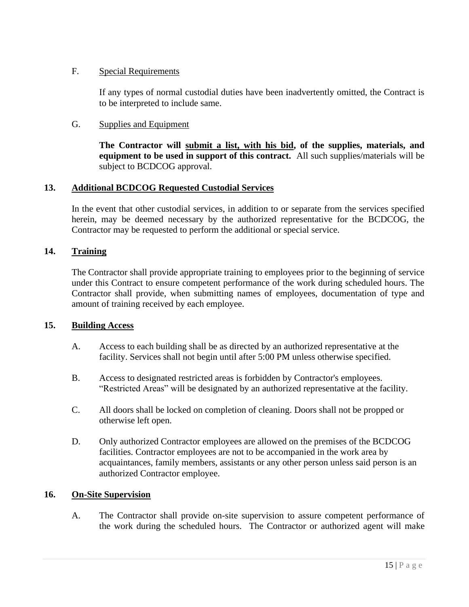# F. Special Requirements

If any types of normal custodial duties have been inadvertently omitted, the Contract is to be interpreted to include same.

# G. Supplies and Equipment

**The Contractor will submit a list, with his bid, of the supplies, materials, and equipment to be used in support of this contract.** All such supplies/materials will be subject to BCDCOG approval.

# **13. Additional BCDCOG Requested Custodial Services**

In the event that other custodial services, in addition to or separate from the services specified herein, may be deemed necessary by the authorized representative for the BCDCOG, the Contractor may be requested to perform the additional or special service.

# **14. Training**

The Contractor shall provide appropriate training to employees prior to the beginning of service under this Contract to ensure competent performance of the work during scheduled hours. The Contractor shall provide, when submitting names of employees, documentation of type and amount of training received by each employee.

# **15. Building Access**

- A. Access to each building shall be as directed by an authorized representative at the facility. Services shall not begin until after 5:00 PM unless otherwise specified.
- B. Access to designated restricted areas is forbidden by Contractor's employees. "Restricted Areas" will be designated by an authorized representative at the facility.
- C. All doors shall be locked on completion of cleaning. Doors shall not be propped or otherwise left open.
- D. Only authorized Contractor employees are allowed on the premises of the BCDCOG facilities. Contractor employees are not to be accompanied in the work area by acquaintances, family members, assistants or any other person unless said person is an authorized Contractor employee.

# **16. On-Site Supervision**

A. The Contractor shall provide on-site supervision to assure competent performance of the work during the scheduled hours. The Contractor or authorized agent will make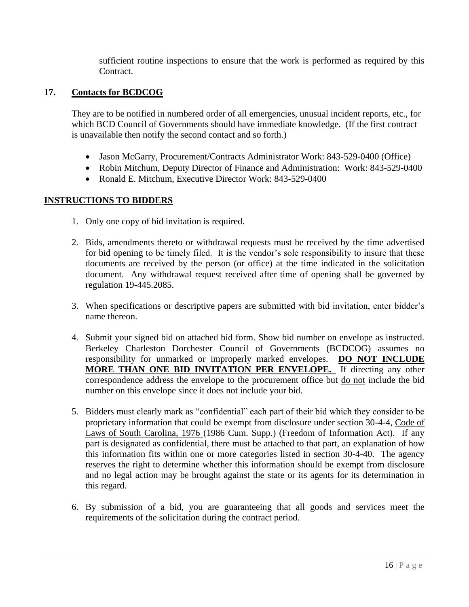sufficient routine inspections to ensure that the work is performed as required by this Contract.

# **17. Contacts for BCDCOG**

They are to be notified in numbered order of all emergencies, unusual incident reports, etc., for which BCD Council of Governments should have immediate knowledge. (If the first contract is unavailable then notify the second contact and so forth.)

- Jason McGarry, Procurement/Contracts Administrator Work: 843-529-0400 (Office)
- Robin Mitchum, Deputy Director of Finance and Administration: Work: 843-529-0400
- Ronald E. Mitchum, Executive Director Work: 843-529-0400

## **INSTRUCTIONS TO BIDDERS**

- 1. Only one copy of bid invitation is required.
- 2. Bids, amendments thereto or withdrawal requests must be received by the time advertised for bid opening to be timely filed. It is the vendor's sole responsibility to insure that these documents are received by the person (or office) at the time indicated in the solicitation document. Any withdrawal request received after time of opening shall be governed by regulation 19-445.2085.
- 3. When specifications or descriptive papers are submitted with bid invitation, enter bidder's name thereon.
- 4. Submit your signed bid on attached bid form. Show bid number on envelope as instructed. Berkeley Charleston Dorchester Council of Governments (BCDCOG) assumes no responsibility for unmarked or improperly marked envelopes. **DO NOT INCLUDE MORE THAN ONE BID INVITATION PER ENVELOPE.** If directing any other correspondence address the envelope to the procurement office but do not include the bid number on this envelope since it does not include your bid.
- 5. Bidders must clearly mark as "confidential" each part of their bid which they consider to be proprietary information that could be exempt from disclosure under section 30-4-4, Code of Laws of South Carolina, 1976 (1986 Cum. Supp.) (Freedom of Information Act). If any part is designated as confidential, there must be attached to that part, an explanation of how this information fits within one or more categories listed in section 30-4-40. The agency reserves the right to determine whether this information should be exempt from disclosure and no legal action may be brought against the state or its agents for its determination in this regard.
- 6. By submission of a bid, you are guaranteeing that all goods and services meet the requirements of the solicitation during the contract period.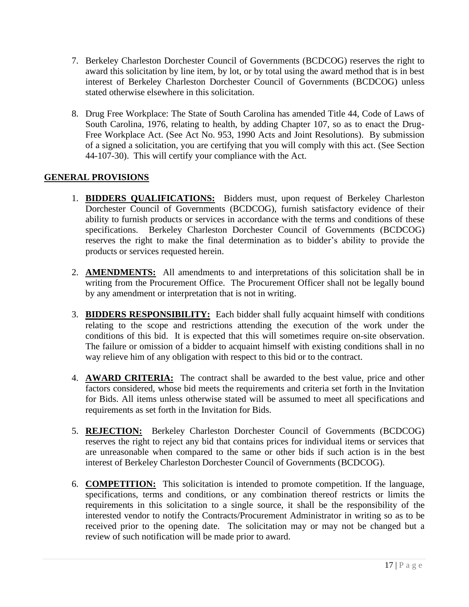- 7. Berkeley Charleston Dorchester Council of Governments (BCDCOG) reserves the right to award this solicitation by line item, by lot, or by total using the award method that is in best interest of Berkeley Charleston Dorchester Council of Governments (BCDCOG) unless stated otherwise elsewhere in this solicitation.
- 8. Drug Free Workplace: The State of South Carolina has amended Title 44, Code of Laws of South Carolina, 1976, relating to health, by adding Chapter 107, so as to enact the Drug-Free Workplace Act. (See Act No. 953, 1990 Acts and Joint Resolutions). By submission of a signed a solicitation, you are certifying that you will comply with this act. (See Section 44-107-30). This will certify your compliance with the Act.

# **GENERAL PROVISIONS**

- 1. **BIDDERS QUALIFICATIONS:** Bidders must, upon request of Berkeley Charleston Dorchester Council of Governments (BCDCOG), furnish satisfactory evidence of their ability to furnish products or services in accordance with the terms and conditions of these specifications. Berkeley Charleston Dorchester Council of Governments (BCDCOG) reserves the right to make the final determination as to bidder's ability to provide the products or services requested herein.
- 2. **AMENDMENTS:** All amendments to and interpretations of this solicitation shall be in writing from the Procurement Office. The Procurement Officer shall not be legally bound by any amendment or interpretation that is not in writing.
- 3. **BIDDERS RESPONSIBILITY:** Each bidder shall fully acquaint himself with conditions relating to the scope and restrictions attending the execution of the work under the conditions of this bid. It is expected that this will sometimes require on-site observation. The failure or omission of a bidder to acquaint himself with existing conditions shall in no way relieve him of any obligation with respect to this bid or to the contract.
- 4. **AWARD CRITERIA:** The contract shall be awarded to the best value, price and other factors considered, whose bid meets the requirements and criteria set forth in the Invitation for Bids. All items unless otherwise stated will be assumed to meet all specifications and requirements as set forth in the Invitation for Bids.
- 5. **REJECTION:** Berkeley Charleston Dorchester Council of Governments (BCDCOG) reserves the right to reject any bid that contains prices for individual items or services that are unreasonable when compared to the same or other bids if such action is in the best interest of Berkeley Charleston Dorchester Council of Governments (BCDCOG).
- 6. **COMPETITION:** This solicitation is intended to promote competition. If the language, specifications, terms and conditions, or any combination thereof restricts or limits the requirements in this solicitation to a single source, it shall be the responsibility of the interested vendor to notify the Contracts/Procurement Administrator in writing so as to be received prior to the opening date. The solicitation may or may not be changed but a review of such notification will be made prior to award.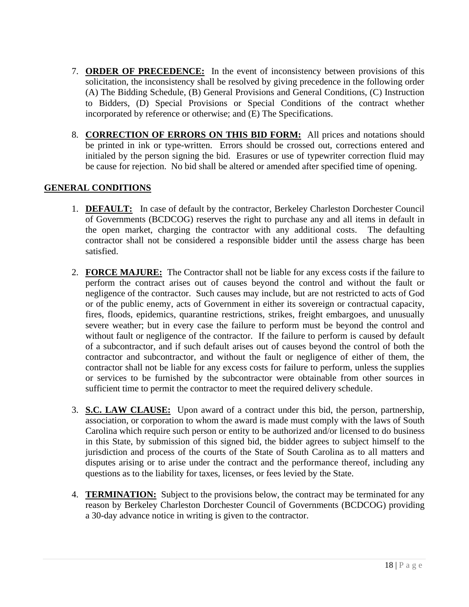- 7. **ORDER OF PRECEDENCE:** In the event of inconsistency between provisions of this solicitation, the inconsistency shall be resolved by giving precedence in the following order (A) The Bidding Schedule, (B) General Provisions and General Conditions, (C) Instruction to Bidders, (D) Special Provisions or Special Conditions of the contract whether incorporated by reference or otherwise; and (E) The Specifications.
- 8. **CORRECTION OF ERRORS ON THIS BID FORM:** All prices and notations should be printed in ink or type-written. Errors should be crossed out, corrections entered and initialed by the person signing the bid. Erasures or use of typewriter correction fluid may be cause for rejection. No bid shall be altered or amended after specified time of opening.

# **GENERAL CONDITIONS**

- 1. **DEFAULT:** In case of default by the contractor, Berkeley Charleston Dorchester Council of Governments (BCDCOG) reserves the right to purchase any and all items in default in the open market, charging the contractor with any additional costs. The defaulting contractor shall not be considered a responsible bidder until the assess charge has been satisfied.
- 2. **FORCE MAJURE:** The Contractor shall not be liable for any excess costs if the failure to perform the contract arises out of causes beyond the control and without the fault or negligence of the contractor. Such causes may include, but are not restricted to acts of God or of the public enemy, acts of Government in either its sovereign or contractual capacity, fires, floods, epidemics, quarantine restrictions, strikes, freight embargoes, and unusually severe weather; but in every case the failure to perform must be beyond the control and without fault or negligence of the contractor. If the failure to perform is caused by default of a subcontractor, and if such default arises out of causes beyond the control of both the contractor and subcontractor, and without the fault or negligence of either of them, the contractor shall not be liable for any excess costs for failure to perform, unless the supplies or services to be furnished by the subcontractor were obtainable from other sources in sufficient time to permit the contractor to meet the required delivery schedule.
- 3. **S.C. LAW CLAUSE:** Upon award of a contract under this bid, the person, partnership, association, or corporation to whom the award is made must comply with the laws of South Carolina which require such person or entity to be authorized and/or licensed to do business in this State, by submission of this signed bid, the bidder agrees to subject himself to the jurisdiction and process of the courts of the State of South Carolina as to all matters and disputes arising or to arise under the contract and the performance thereof, including any questions as to the liability for taxes, licenses, or fees levied by the State.
- 4. **TERMINATION:** Subject to the provisions below, the contract may be terminated for any reason by Berkeley Charleston Dorchester Council of Governments (BCDCOG) providing a 30-day advance notice in writing is given to the contractor.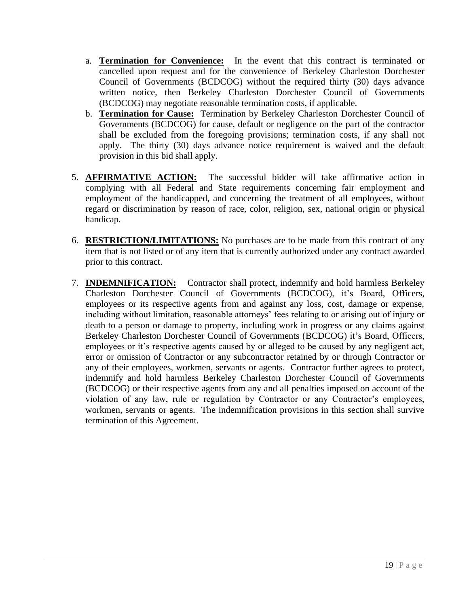- a. **Termination for Convenience:** In the event that this contract is terminated or cancelled upon request and for the convenience of Berkeley Charleston Dorchester Council of Governments (BCDCOG) without the required thirty (30) days advance written notice, then Berkeley Charleston Dorchester Council of Governments (BCDCOG) may negotiate reasonable termination costs, if applicable.
- b. **Termination for Cause:** Termination by Berkeley Charleston Dorchester Council of Governments (BCDCOG) for cause, default or negligence on the part of the contractor shall be excluded from the foregoing provisions; termination costs, if any shall not apply. The thirty (30) days advance notice requirement is waived and the default provision in this bid shall apply.
- 5. **AFFIRMATIVE ACTION:** The successful bidder will take affirmative action in complying with all Federal and State requirements concerning fair employment and employment of the handicapped, and concerning the treatment of all employees, without regard or discrimination by reason of race, color, religion, sex, national origin or physical handicap.
- 6. **RESTRICTION/LIMITATIONS:** No purchases are to be made from this contract of any item that is not listed or of any item that is currently authorized under any contract awarded prior to this contract.
- 7. **INDEMNIFICATION:** Contractor shall protect, indemnify and hold harmless Berkeley Charleston Dorchester Council of Governments (BCDCOG), it's Board, Officers, employees or its respective agents from and against any loss, cost, damage or expense, including without limitation, reasonable attorneys' fees relating to or arising out of injury or death to a person or damage to property, including work in progress or any claims against Berkeley Charleston Dorchester Council of Governments (BCDCOG) it's Board, Officers, employees or it's respective agents caused by or alleged to be caused by any negligent act, error or omission of Contractor or any subcontractor retained by or through Contractor or any of their employees, workmen, servants or agents. Contractor further agrees to protect, indemnify and hold harmless Berkeley Charleston Dorchester Council of Governments (BCDCOG) or their respective agents from any and all penalties imposed on account of the violation of any law, rule or regulation by Contractor or any Contractor's employees, workmen, servants or agents. The indemnification provisions in this section shall survive termination of this Agreement.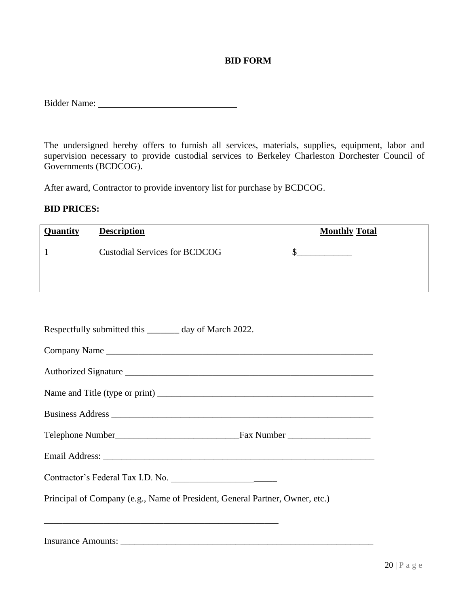## **BID FORM**

The undersigned hereby offers to furnish all services, materials, supplies, equipment, labor and supervision necessary to provide custodial services to Berkeley Charleston Dorchester Council of Governments (BCDCOG).

After award, Contractor to provide inventory list for purchase by BCDCOG.

## **BID PRICES:**

| <b>Quantity</b> | <b>Description</b>                   | <b>Monthly Total</b> |
|-----------------|--------------------------------------|----------------------|
|                 | <b>Custodial Services for BCDCOG</b> |                      |
|                 |                                      |                      |

| Respectfully submitted this ________ day of March 2022.                      |
|------------------------------------------------------------------------------|
| Company Name                                                                 |
| Authorized Signature                                                         |
|                                                                              |
|                                                                              |
|                                                                              |
|                                                                              |
| Contractor's Federal Tax I.D. No.                                            |
| Principal of Company (e.g., Name of President, General Partner, Owner, etc.) |
|                                                                              |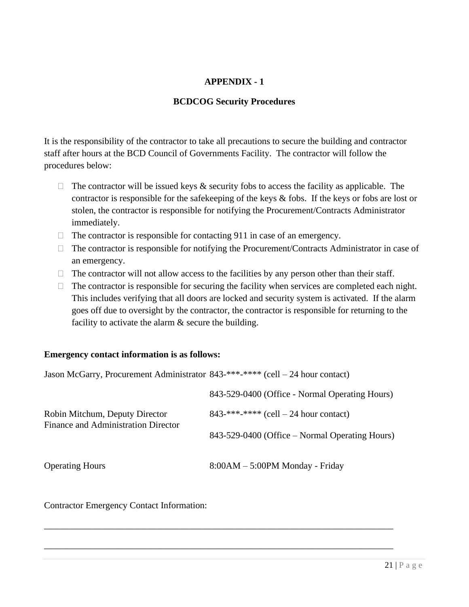# **APPENDIX - 1**

## **BCDCOG Security Procedures**

It is the responsibility of the contractor to take all precautions to secure the building and contractor staff after hours at the BCD Council of Governments Facility. The contractor will follow the procedures below:

- $\Box$  The contractor will be issued keys & security fobs to access the facility as applicable. The contractor is responsible for the safekeeping of the keys  $\&$  fobs. If the keys or fobs are lost or stolen, the contractor is responsible for notifying the Procurement/Contracts Administrator immediately.
- $\Box$  The contractor is responsible for contacting 911 in case of an emergency.
- $\Box$  The contractor is responsible for notifying the Procurement/Contracts Administrator in case of an emergency.
- $\Box$  The contractor will not allow access to the facilities by any person other than their staff.
- $\Box$  The contractor is responsible for securing the facility when services are completed each night. This includes verifying that all doors are locked and security system is activated. If the alarm goes off due to oversight by the contractor, the contractor is responsible for returning to the facility to activate the alarm  $\&$  secure the building.

## **Emergency contact information is as follows:**

| Jason McGarry, Procurement Administrator 843-***-**** (cell - 24 hour contact) |                                                                  |  |
|--------------------------------------------------------------------------------|------------------------------------------------------------------|--|
|                                                                                | 843-529-0400 (Office - Normal Operating Hours)                   |  |
| Robin Mitchum, Deputy Director<br>Finance and Administration Director          | $843$ <sup>***</sup> <sup>***</sup> *** (cell – 24 hour contact) |  |
|                                                                                | 843-529-0400 (Office – Normal Operating Hours)                   |  |
| <b>Operating Hours</b>                                                         | $8:00AM - 5:00PM$ Monday - Friday                                |  |

\_\_\_\_\_\_\_\_\_\_\_\_\_\_\_\_\_\_\_\_\_\_\_\_\_\_\_\_\_\_\_\_\_\_\_\_\_\_\_\_\_\_\_\_\_\_\_\_\_\_\_\_\_\_\_\_\_\_\_\_\_\_\_\_\_\_\_\_\_\_\_\_\_\_\_\_

\_\_\_\_\_\_\_\_\_\_\_\_\_\_\_\_\_\_\_\_\_\_\_\_\_\_\_\_\_\_\_\_\_\_\_\_\_\_\_\_\_\_\_\_\_\_\_\_\_\_\_\_\_\_\_\_\_\_\_\_\_\_\_\_\_\_\_\_\_\_\_\_\_\_\_\_

Contractor Emergency Contact Information: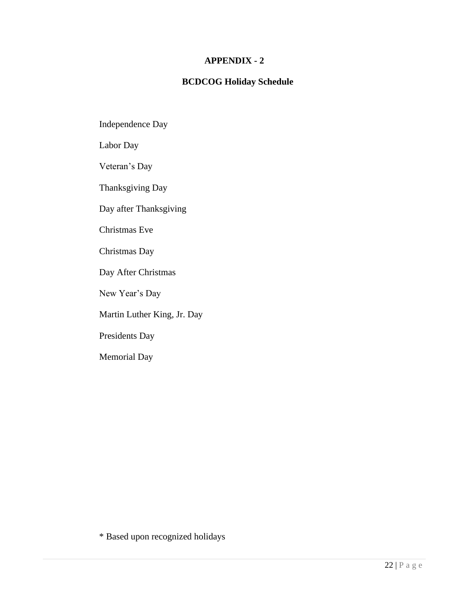## **APPENDIX - 2**

# **BCDCOG Holiday Schedule**

Independence Day

Labor Day

Veteran's Day

Thanksgiving Day

Day after Thanksgiving

Christmas Eve

Christmas Day

Day After Christmas

New Year's Day

Martin Luther King, Jr. Day

Presidents Day

Memorial Day

\* Based upon recognized holidays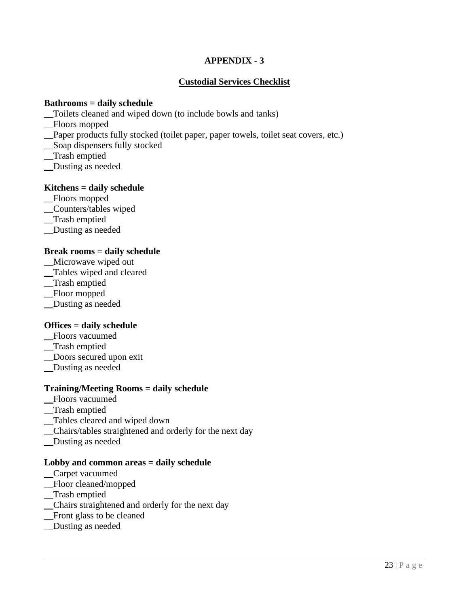# **APPENDIX - 3**

# **Custodial Services Checklist**

## **Bathrooms = daily schedule**

- \_\_Toilets cleaned and wiped down (to include bowls and tanks)
- \_\_Floors mopped
- \_\_Paper products fully stocked (toilet paper, paper towels, toilet seat covers, etc.)
- \_\_Soap dispensers fully stocked
- \_\_Trash emptied
- \_\_Dusting as needed

## **Kitchens = daily schedule**

- \_\_Floors mopped
- \_\_Counters/tables wiped
- \_\_Trash emptied
- \_\_Dusting as needed

## **Break rooms = daily schedule**

- \_\_Microwave wiped out
- \_\_Tables wiped and cleared
- \_\_Trash emptied
- \_\_Floor mopped
- \_\_Dusting as needed

## **Offices = daily schedule**

- \_\_Floors vacuumed
- \_\_Trash emptied
- \_\_Doors secured upon exit
- \_\_Dusting as needed

## **Training/Meeting Rooms = daily schedule**

- \_\_Floors vacuumed
- \_\_Trash emptied
- \_\_Tables cleared and wiped down
- \_\_Chairs/tables straightened and orderly for the next day
- \_\_Dusting as needed

#### **Lobby and common areas = daily schedule**

- \_\_Carpet vacuumed
- \_\_Floor cleaned/mopped
- \_\_Trash emptied
- \_\_Chairs straightened and orderly for the next day
- \_\_Front glass to be cleaned
- \_\_Dusting as needed